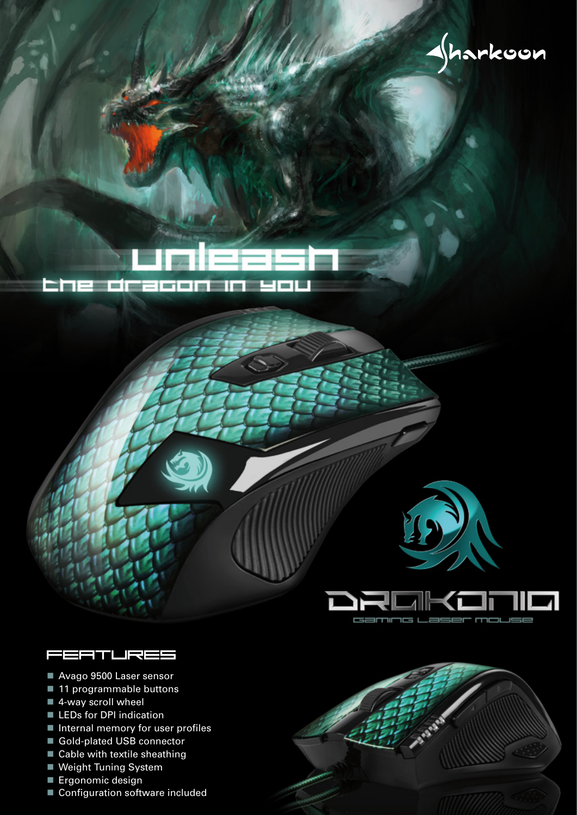$\rightarrow$ harkoon





- Avago 9500 Laser sensor
- 11 programmable buttons
- 4-way scroll wheel
- **LEDs for DPI indication**
- Internal memory for user profiles
- Gold-plated USB connector
- Cable with textile sheathing
- **Weight Tuning System**
- **Ergonomic design**
- Configuration software included



등

 $=$  $=$  $=$ 

camr

7

mouse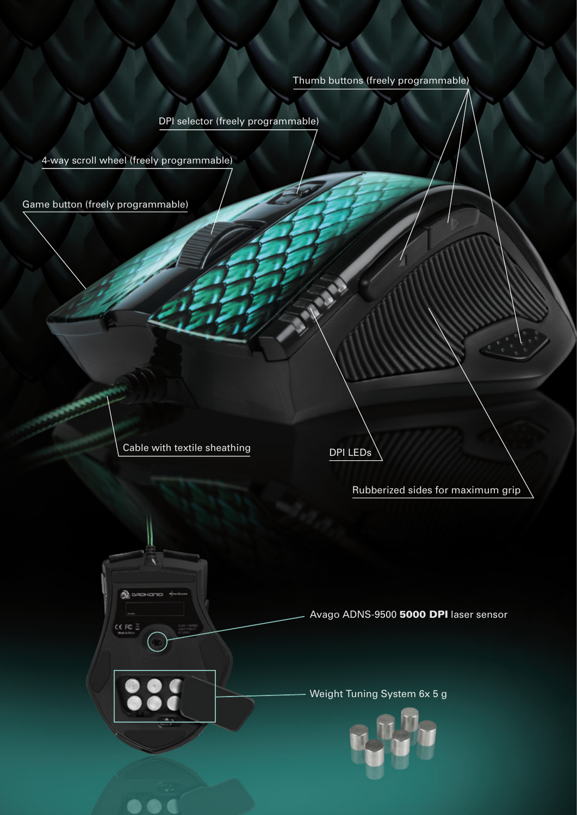## Thumb buttons (freely programmable)

DPI selector (freely programmable)

4-way scroll wheel (freely programmable)

Game button (freely programmable)

Cable with textile sheathing

லி -

CE FC

DPI LEDs

Rubberized sides for maximum grip

Avago ADNS-9500 5000 DPI laser sensor

Weight Tuning System 6x 5 g